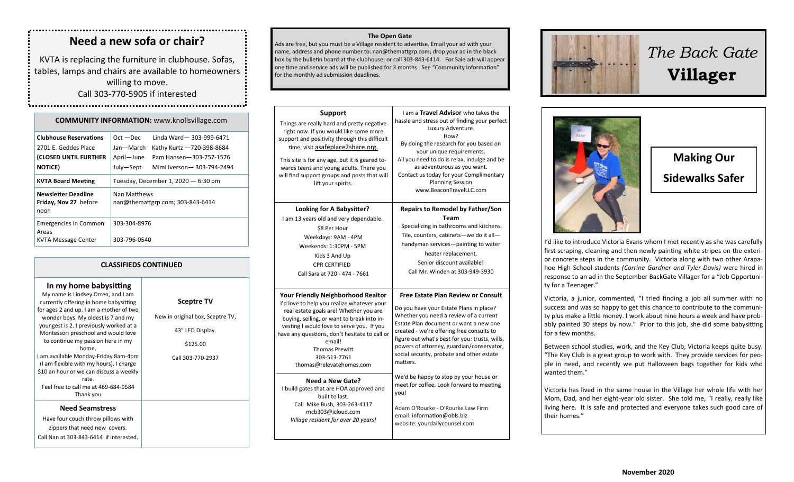## **Need a new sofa or chair?**

KVTA is replacing the furniture in clubhouse. Sofas, tables, lamps and chairs are available to homeowners willing to move.

Call 303-770-5905 if interested 

| <b>COMMUNITY INFORMATION:</b> www.knollsvillage.com                                               |                                                     |                                                                                                               |  |  |
|---------------------------------------------------------------------------------------------------|-----------------------------------------------------|---------------------------------------------------------------------------------------------------------------|--|--|
| <b>Clubhouse Reservations</b><br>2701 E. Geddes Place<br>(CLOSED UNTIL FURTHER<br><b>NOTICE</b> ) | $Oct - Dec$<br>Jan—March<br>April-June<br>July-Sept | Linda Ward-303-999-6471<br>Kathy Kurtz - 720-398-8684<br>Pam Hansen-303-757-1576<br>Mimi Iverson-303-794-2494 |  |  |
| <b>KVTA Board Meeting</b>                                                                         | Tuesday, December 1, 2020 $-6:30$ pm                |                                                                                                               |  |  |
| <b>Newsletter Deadline</b><br>Friday, Nov 27 before<br>noon                                       | Nan Matthews<br>nan@themattgrp.com; 303-843-6414    |                                                                                                               |  |  |
| <b>Emergencies in Common</b><br>Areas<br>KVTA Message Center                                      | 303-304-8976<br>303-796-0540                        |                                                                                                               |  |  |

### **CLASSIFIEDS CONTINUED**

| In my home babysitting                                                                                                                                                                                                                                                                                                                                                                                                                                                       |                                                                                                            |
|------------------------------------------------------------------------------------------------------------------------------------------------------------------------------------------------------------------------------------------------------------------------------------------------------------------------------------------------------------------------------------------------------------------------------------------------------------------------------|------------------------------------------------------------------------------------------------------------|
| My name is Lindsey Orren, and I am<br>currently offering in home babysitting<br>for ages 2 and up. I am a mother of two<br>wonder boys. My oldest is 7 and my<br>youngest is 2. I previously worked at a<br>Montessori preschool and would love<br>to continue my passion here in my<br>home.<br>I am available Monday-Friday 8am-4pm<br>(I am flexible with my hours). I charge<br>\$10 an hour or we can discuss a weekly<br>rate.<br>Feel free to call me at 469-684-9584 | <b>Sceptre TV</b><br>New in original box, Sceptre TV,<br>43" LED Display.<br>\$125.00<br>Call 303-770-2937 |
| Thank you<br><b>Need Seamstress</b><br>Have four couch throw pillows with                                                                                                                                                                                                                                                                                                                                                                                                    |                                                                                                            |
| zippers that need new covers.                                                                                                                                                                                                                                                                                                                                                                                                                                                |                                                                                                            |

Call Nan at 303-843-6414 if interested.

#### **The Open Gate**

Ads are free, but you must be a Village resident to advertise. Email your ad with your name, address and phone number to: nan@themattgrp.com; drop your ad in the black box by the bulletin board at the clubhouse; or call 303-843-6414. For Sale ads will appear one time and service ads will be published for 3 months. See "Community Information" for the monthly ad submission deadlines.

| <b>Support</b><br>Things are really hard and pretty negative<br>right now. If you would like some more<br>support and positivity through this difficult<br>time, visit asafeplace2share.org.<br>This site is for any age, but it is geared to-<br>wards teens and young adults. There you<br>will find support groups and posts that will<br>lift your spirits. | I am a Travel Advisor who takes the<br>hassle and stress out of finding your perfect<br>Luxury Adventure.<br>How?<br>By doing the research for you based on<br>your unique requirements.<br>All you need to do is relax, indulge and be<br>as adventurous as you want.<br>Contact us today for your Complimentary<br><b>Planning Session</b><br>www.BeaconTravelLLC.com       |
|-----------------------------------------------------------------------------------------------------------------------------------------------------------------------------------------------------------------------------------------------------------------------------------------------------------------------------------------------------------------|-------------------------------------------------------------------------------------------------------------------------------------------------------------------------------------------------------------------------------------------------------------------------------------------------------------------------------------------------------------------------------|
| Looking for A Babysitter?                                                                                                                                                                                                                                                                                                                                       | <b>Repairs to Remodel by Father/Son</b>                                                                                                                                                                                                                                                                                                                                       |
| I am 13 years old and very dependable.                                                                                                                                                                                                                                                                                                                          | <b>Team</b>                                                                                                                                                                                                                                                                                                                                                                   |
| \$8 Per Hour                                                                                                                                                                                                                                                                                                                                                    | Specializing in bathrooms and kitchens.                                                                                                                                                                                                                                                                                                                                       |
| Weekdays: 9AM - 4PM                                                                                                                                                                                                                                                                                                                                             | Tile, counters, cabinets-we do it all-                                                                                                                                                                                                                                                                                                                                        |
| Weekends: 1:30PM - 5PM                                                                                                                                                                                                                                                                                                                                          | handyman services-painting to water                                                                                                                                                                                                                                                                                                                                           |
| Kids 3 And Up                                                                                                                                                                                                                                                                                                                                                   | heater replacement.                                                                                                                                                                                                                                                                                                                                                           |
| <b>CPR CERTIFIED</b>                                                                                                                                                                                                                                                                                                                                            | Senior discount available!                                                                                                                                                                                                                                                                                                                                                    |
| Call Sara at 720 - 474 - 7661                                                                                                                                                                                                                                                                                                                                   | Call Mr. Winden at 303-949-3930                                                                                                                                                                                                                                                                                                                                               |
| <b>Your Friendly Neighborhood Realtor</b><br>I'd love to help you realize whatever your<br>real estate goals are! Whether you are<br>buying, selling, or want to break into in-<br>vesting I would love to serve you. If you<br>have any questions, don't hesitate to call or<br>email!<br><b>Thomas Prewitt</b><br>303-513-7761<br>thomas@relevatehomes.com    | <b>Free Estate Plan Review or Consult</b><br>Do you have your Estate Plans in place?<br>Whether you need a review of a current<br>Estate Plan document or want a new one<br>created - we're offering free consults to<br>figure out what's best for you: trusts, wills,<br>powers of attorney, guardian/conservator,<br>social security, probate and other estate<br>matters. |
| Need a New Gate?                                                                                                                                                                                                                                                                                                                                                | We'd be happy to stop by your house or                                                                                                                                                                                                                                                                                                                                        |
| I build gates that are HOA approved and                                                                                                                                                                                                                                                                                                                         | meet for coffee. Look forward to meeting                                                                                                                                                                                                                                                                                                                                      |
| built to last.                                                                                                                                                                                                                                                                                                                                                  | you!                                                                                                                                                                                                                                                                                                                                                                          |
| Call Mike Bush, 303-263-4117                                                                                                                                                                                                                                                                                                                                    | Adam O'Rourke - O'Rourke Law Firm                                                                                                                                                                                                                                                                                                                                             |
| mcb303@icloud.com                                                                                                                                                                                                                                                                                                                                               | email: information@obls.biz                                                                                                                                                                                                                                                                                                                                                   |
| Village resident for over 20 years!                                                                                                                                                                                                                                                                                                                             | website: yourdailycounsel.com                                                                                                                                                                                                                                                                                                                                                 |



# *The Back Gate*  **Villager**



**Making Our Sidewalks Safer**

I'd like to introduce Victoria Evans whom I met recently as she was carefully first scraping, cleaning and then newly painting white stripes on the exterior concrete steps in the community. Victoria along with two other Arapahoe High School students *(Corrine Gardner and Tyler Davis)* were hired in response to an ad in the September BackGate Villager for a "Job Opportunity for a Teenager."

Victoria, a junior, commented, "I tried finding a job all summer with no success and was so happy to get this chance to contribute to the community plus make a little money. I work about nine hours a week and have probably painted 30 steps by now." Prior to this job, she did some babysitting for a few months.

Between school studies, work, and the Key Club, Victoria keeps quite busy. "The Key Club is a great group to work with. They provide services for people in need, and recently we put Halloween bags together for kids who wanted them."

Victoria has lived in the same house in the Village her whole life with her Mom, Dad, and her eight-year old sister. She told me, "I really, really like living here. It is safe and protected and everyone takes such good care of their homes."